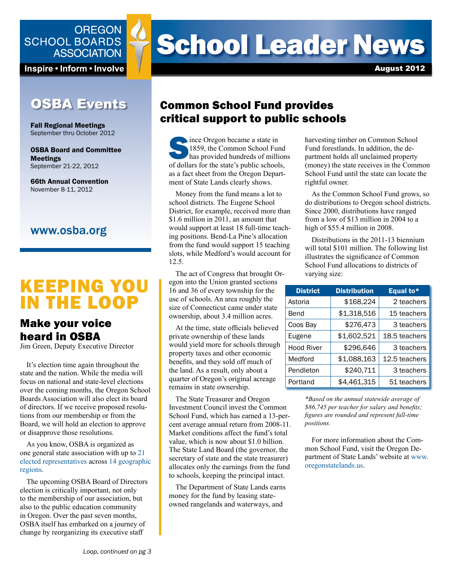

Inspire • Inform • Involve

## **OSBA Events**

Fall Regional Meetings September thru October 2012

OSBA Board and Committee Meetings September 21-22, 2012

66th Annual Convention November 8-11, 2012

#### www.osba.org

# KEEPING YOU IN THE LOOP

## Make your voice heard in OSBA

Jim Green, Deputy Executive Director

It's election time again throughout the state and the nation. While the media will focus on national and state-level elections over the coming months, the Oregon School Boards Association will also elect its board of directors. If we receive proposed resolutions from our membership or from the Board, we will hold an election to approve or disapprove those resolutions.

As you know, OSBA is organized as one general state association with up to [21](http://www.osba.org/About%20OSBA/LeftNav/OSBA_Board/Members.aspx)  [elected representatives](http://www.osba.org/About%20OSBA/LeftNav/OSBA_Board/Members.aspx) across [14 geographic](http://www.osba.org/~/media/Files/About%20OSBA/Governance/OSBA%20Map%20of%20Governance%20Regions.pdf)  [regions](http://www.osba.org/~/media/Files/About%20OSBA/Governance/OSBA%20Map%20of%20Governance%20Regions.pdf).

The upcoming OSBA Board of Directors election is critically important, not only to the membership of our association, but also to the public education community in Oregon. Over the past seven months, OSBA itself has embarked on a journey of change by reorganizing its executive staff

# **School Leader News**

August 2012

## Common School Fund provides critical support to public schools

Since Oregon became a state in 1859, the Common School Fund has provided hundreds of millions of dollars for the state's public schools, as a fact sheet from the Oregon Department of State Lands clearly shows.

Money from the fund means a lot to school districts. The Eugene School District, for example, received more than \$1.6 million in 2011, an amount that would support at least 18 full-time teaching positions. Bend-La Pine's allocation from the fund would support 15 teaching slots, while Medford's would account for 12.5.

The act of Congress that brought Oregon into the Union granted sections 16 and 36 of every township for the use of schools. An area roughly the size of Connecticut came under state ownership, about 3.4 million acres.

At the time, state officials believed private ownership of these lands would yield more for schools through property taxes and other economic benefits, and they sold off much of the land. As a result, only about a quarter of Oregon's original acreage remains in state ownership.

The State Treasurer and Oregon Investment Council invest the Common School Fund, which has earned a 13-percent average annual return from 2008-11. Market conditions affect the fund's total value, which is now about \$1.0 billion. The State Land Board (the governor, the secretary of state and the state treasurer) allocates only the earnings from the fund to schools, keeping the principal intact.

The Department of State Lands earns money for the fund by leasing stateowned rangelands and waterways, and

harvesting timber on Common School Fund forestlands. In addition, the department holds all unclaimed property (money) the state receives in the Common School Fund until the state can locate the rightful owner.

As the Common School Fund grows, so do distributions to Oregon school districts. Since 2000, distributions have ranged from a low of \$13 million in 2004 to a high of \$55.4 million in 2008.

Distributions in the 2011-13 biennium will total \$101 million. The following list illustrates the significance of Common School Fund allocations to districts of varying size:

| <b>District</b>   | <b>Distribution</b> | Equal to*     |
|-------------------|---------------------|---------------|
| Astoria           | \$168,224           | 2 teachers    |
| Bend              | \$1,318,516         | 15 teachers   |
| Coos Bay          | \$276,473           | 3 teachers    |
| Eugene            | \$1,602,521         | 18.5 teachers |
| <b>Hood River</b> | \$296,646           | 3 teachers    |
| Medford           | \$1,088,163         | 12.5 teachers |
| Pendleton         | \$240,711           | 3 teachers    |
| Portland          | \$4,461,315         | 51 teachers   |

*\*Based on the annual statewide average of \$86,745 per teacher for salary and benefits; figures are rounded and represent full-time positions.*

For more information about the Common School Fund, visit the Oregon Department of State Lands' website at [www.](www.oregonstatelands.us) [oregonstatelands.us.](www.oregonstatelands.us)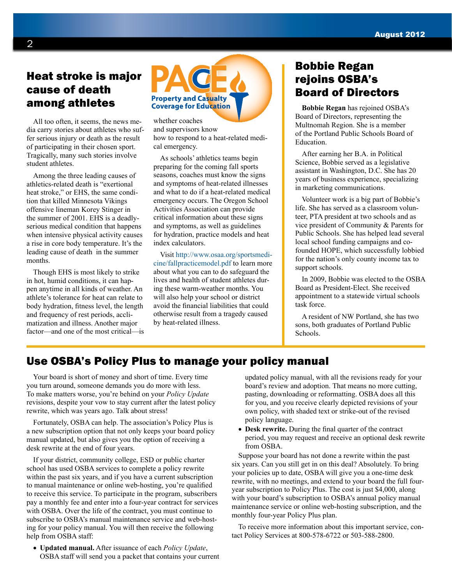## Heat stroke is major cause of death among athletes

All too often, it seems, the news media carry stories about athletes who suffer serious injury or death as the result of participating in their chosen sport. Tragically, many such stories involve student athletes.

Among the three leading causes of athletics-related death is "exertional heat stroke," or EHS, the same condition that killed Minnesota Vikings offensive lineman Korey Stinger in the summer of 2001. EHS is a deadlyserious medical condition that happens when intensive physical activity causes a rise in core body temperature. It's the leading cause of death in the summer months.

Though EHS is most likely to strike in hot, humid conditions, it can happen anytime in all kinds of weather. An athlete's tolerance for heat can relate to body hydration, fitness level, the length and frequency of rest periods, acclimatization and illness. Another major factor—and one of the most critical—is



[whether coaches](pace.osba.org)  and supervisors know how to respond to a heat-related medical emergency.

As schools' athletics teams begin preparing for the coming fall sports seasons, coaches must know the signs and symptoms of heat-related illnesses and what to do if a heat-related medical emergency occurs. The Oregon School Activities Association can provide critical information about these signs and symptoms, as well as guidelines for hydration, practice models and heat index calculators.

Visit [http://www.osaa.org/sportsmedi](http://www.osaa.org/sportsmedicine/fallpracticemodel.pdf)[cine/fallpracticemodel.pdf](http://www.osaa.org/sportsmedicine/fallpracticemodel.pdf) to learn more about what you can to do safeguard the lives and health of student athletes during these warm-weather months. You will also help your school or district avoid the financial liabilities that could otherwise result from a tragedy caused by heat-related illness.

## Bobbie Regan rejoins OSBA's Board of Directors

**Bobbie Regan** has rejoined OSBA's Board of Directors, representing the Multnomah Region. She is a member of the Portland Public Schools Board of Education.

After earning her B.A. in Political Science, Bobbie served as a legislative assistant in Washington, D.C. She has 20 years of business experience, specializing in marketing communications.

Volunteer work is a big part of Bobbie's life. She has served as a classroom volunteer, PTA president at two schools and as vice president of Community & Parents for Public Schools. She has helped lead several local school funding campaigns and cofounded HOPE, which successfully lobbied for the nation's only county income tax to support schools.

In 2009, Bobbie was elected to the OSBA Board as President-Elect. She received appointment to a statewide virtual schools task force.

A resident of NW Portland, she has two sons, both graduates of Portland Public Schools.

## Use OSBA's Policy Plus to manage your policy manual

Your board is short of money and short of time. Every time you turn around, someone demands you do more with less. To make matters worse, you're behind on your *Policy Update* revisions, despite your vow to stay current after the latest policy rewrite, which was years ago. Talk about stress!

Fortunately, OSBA can help. The association's Policy Plus is a new subscription option that not only keeps your board policy manual updated, but also gives you the option of receiving a desk rewrite at the end of four years.

If your district, community college, ESD or public charter school has used OSBA services to complete a policy rewrite within the past six years, and if you have a current subscription to manual maintenance or online web-hosting, you're qualified to receive this service. To participate in the program, subscribers pay a monthly fee and enter into a four-year contract for services with OSBA. Over the life of the contract, you must continue to subscribe to OSBA's manual maintenance service and web-hosting for your policy manual. You will then receive the following help from OSBA staff:

• **Updated manual.** After issuance of each *Policy Update*, OSBA staff will send you a packet that contains your current updated policy manual, with all the revisions ready for your board's review and adoption. That means no more cutting, pasting, downloading or reformatting. OSBA does all this for you, and you receive clearly depicted revisions of your own policy, with shaded text or strike-out of the revised policy language.

• **Desk rewrite.** During the final quarter of the contract period, you may request and receive an optional desk rewrite from OSBA.

Suppose your board has not done a rewrite within the past six years. Can you still get in on this deal? Absolutely. To bring your policies up to date, OSBA will give you a one-time desk rewrite, with no meetings, and extend to your board the full fouryear subscription to Policy Plus. The cost is just \$4,000, along with your board's subscription to OSBA's annual policy manual maintenance service or online web-hosting subscription, and the monthly four-year Policy Plus plan.

To receive more information about this important service, contact Policy Services at 800-578-6722 or 503-588-2800.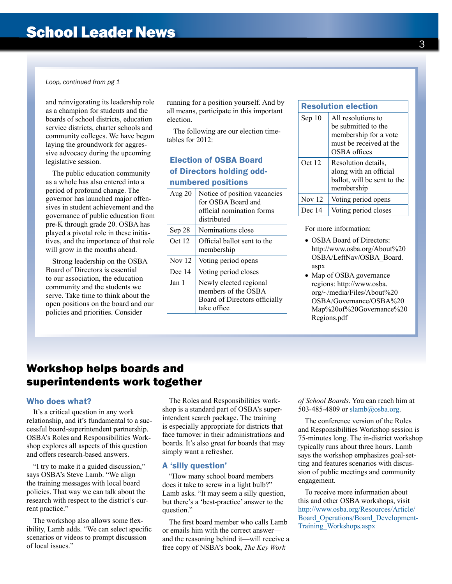*Loop, continued from pg 1*

and reinvigorating its leadership role as a champion for students and the boards of school districts, education service districts, charter schools and community colleges. We have begun laying the groundwork for aggressive advocacy during the upcoming legislative session.

The public education community as a whole has also entered into a period of profound change. The governor has launched major offensives in student achievement and the governance of public education from pre-K through grade 20. OSBA has played a pivotal role in these initiatives, and the importance of that role will grow in the months ahead.

Strong leadership on the OSBA Board of Directors is essential to our association, the education community and the students we serve. Take time to think about the open positions on the board and our policies and priorities. Consider

running for a position yourself. And by all means, participate in this important election.

The following are our election timetables for 2012:

| <b>Election of OSBA Board</b><br>of Directors holding odd- |                                                                                                |  |
|------------------------------------------------------------|------------------------------------------------------------------------------------------------|--|
| numbered positions                                         |                                                                                                |  |
| Aug $20$                                                   | Notice of position vacancies<br>for OSBA Board and<br>official nomination forms<br>distributed |  |
| Sep 28                                                     | Nominations close                                                                              |  |
| Oct 12                                                     | Official ballot sent to the<br>membership                                                      |  |
| <b>Nov</b> 12                                              | Voting period opens                                                                            |  |
| Dec 14                                                     | Voting period closes                                                                           |  |
| Jan 1                                                      | Newly elected regional<br>members of the OSBA<br>Board of Directors officially<br>take office  |  |

| <b>Resolution election</b> |                                                                                                               |
|----------------------------|---------------------------------------------------------------------------------------------------------------|
| Sep 10                     | All resolutions to<br>be submitted to the<br>membership for a vote<br>must be received at the<br>OSBA offices |
| Oct 12                     | Resolution details.<br>along with an official<br>ballot, will be sent to the<br>membership                    |
| <b>Nov</b> 12              | Voting period opens                                                                                           |
| Dec 14                     | Voting period closes                                                                                          |

For more information:

- OSBA Board of Directors: [http://www.osba.org/About%20](http://www.osba.org/About%20OSBA/LeftNav/OSBA_Board.aspx) [OSBA/LeftNav/OSBA\\_Board.](http://www.osba.org/About%20OSBA/LeftNav/OSBA_Board.aspx) [aspx](http://www.osba.org/About%20OSBA/LeftNav/OSBA_Board.aspx)
- Map of OSBA governance regions: http://www.osba. org/~/media/Files/About%20 OSBA/Governance/OSBA%20 Map%20of%20Governance%20 Regions.pdf

## Workshop helps boards and superintendents work together

#### Who does what?

It's a critical question in any work relationship, and it's fundamental to a successful board-superintendent partnership. OSBA's Roles and Responsibilities Workshop explores all aspects of this question and offers research-based answers.

"I try to make it a guided discussion," says OSBA's Steve Lamb. "We align the training messages with local board policies. That way we can talk about the research with respect to the district's current practice."

The workshop also allows some flexibility, Lamb adds. "We can select specific scenarios or videos to prompt discussion of local issues."

The Roles and Responsibilities workshop is a standard part of OSBA's superintendent search package. The training is especially appropriate for districts that face turnover in their administrations and boards. It's also great for boards that may simply want a refresher.

#### A 'silly question'

"How many school board members does it take to screw in a light bulb?" Lamb asks. "It may seem a silly question, but there's a 'best-practice' answer to the question."

The first board member who calls Lamb or emails him with the correct answer and the reasoning behind it—will receive a free copy of NSBA's book, *The Key Work* 

*of School Boards*. You can reach him at 503-485-4809 or [slamb@osba.org](mailto:slamb%40osba.org?subject=How%20many%20board%20members%20does%20it%20take%20to%20screw%20in%20a%20lightbulb?).

The conference version of the Roles and Responsibilities Workshop session is 75-minutes long. The in-district workshop typically runs about three hours. Lamb says the workshop emphasizes goal-setting and features scenarios with discussion of public meetings and community engagement.

To receive more information about this and other OSBA workshops, visit [http://www.osba.org/Resources/Article/](http://www.osba.org/Resources/Article/Board_Operations/Board_Development-Training_Workshops.aspx) [Board\\_Operations/Board\\_Development-](http://www.osba.org/Resources/Article/Board_Operations/Board_Development-Training_Workshops.aspx)[Training\\_Workshops.aspx](http://www.osba.org/Resources/Article/Board_Operations/Board_Development-Training_Workshops.aspx)